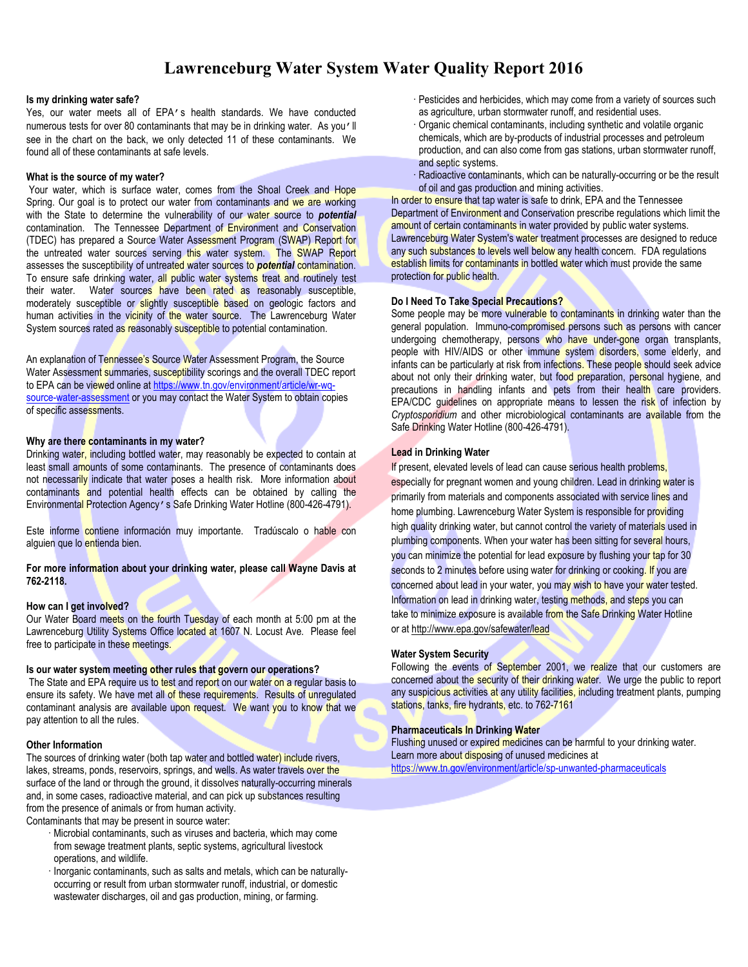## **Lawrenceburg Water System Water Quality Report 2016**

#### **Is my drinking water safe?**

Yes, our water meets all of EPA's health standards. We have conducted numerous tests for over 80 contaminants that may be in drinking water. As you'll see in the chart on the back, we only detected 11 of these contaminants. We found all of these contaminants at safe levels.

#### **What is the source of my water?**

Your water, which is surface water, comes from the Shoal Creek and Hope Spring. Our goal is to protect our water from contaminants and we are working with the State to determine the vulnerability of our water source to *potential* contamination. The Tennessee Department of Environment and Conservation (TDEC) has prepared a Source Water Assessment Program (SWAP) Report for the untreated water sources serving this water system. The SWAP Report assesses the susceptibility of untreated water sources to *potential* contamination. To ensure safe drinking water, all public water systems treat and routinely test their water. Water sources have been rated as reasonably susceptible, moderately susceptible or slightly susceptible based on geologic factors and human activities in the vicinity of the water source. The Lawrenceburg Water System sources rated as reasonably susceptible to potential contamination.

An explanation of Tennessee's Source Water Assessment Program, the Source Water Assessment summaries, susceptibility scorings and the overall TDEC report to EPA can be viewed online at https://www.tn.gov/environment/article/wr-wqsource-water-assessment or you may contact the Water System to obtain copies of specific assessments.

#### **Why are there contaminants in my water?**

Drinking water, including bottled water, may reasonably be expected to contain at least small amounts of some contaminants. The presence of contaminants does not necessarily indicate that water poses a health risk. More information about contaminants and potential health effects can be obtained by calling the Environmental Protection Agency's Safe Drinking Water Hotline (800-426-4791).

Este informe contiene información muy importante. Tradúscalo o hable con alguien que lo entienda bien.

**For more information about your drinking water, please call Wayne Davis at 762-2118.**

#### **How can I get involved?**

Our Water Board meets on the fourth Tuesday of each month at 5:00 pm at the Lawrenceburg Utility Systems Office located at 1607 N. Locust Ave. Please feel free to participate in these meetings.

#### **Is our water system meeting other rules that govern our operations?**

The State and EPA require us to test and report on our water on a regular basis to ensure its safety. We have met all of these requirements. Results of unregulated contaminant analysis are available upon request. We want you to know that we pay attention to all the rules.

#### **Other Information**

The sources of drinking water (both tap water and bottled water) include rivers, lakes, streams, ponds, reservoirs, springs, and wells. As water travels over the surface of the land or through the ground, it dissolves naturally-occurring minerals and, in some cases, radioactive material, and can pick up substances resulting from the presence of animals or from human activity.

- Contaminants that may be present in source water:
	- Microbial contaminants, such as viruses and bacteria, which may come from sewage treatment plants, septic systems, agricultural livestock operations, and wildlife.
	- $\cdot$  Inorganic contaminants, such as salts and metals, which can be naturallyoccurring or result from urban stormwater runoff, industrial, or domestic wastewater discharges, oil and gas production, mining, or farming.

 Pesticides and herbicides, which may come from a variety of sources such as agriculture, urban stormwater runoff, and residential uses.

- Organic chemical contaminants, including synthetic and volatile organic chemicals, which are by-products of industrial processes and petroleum production, and can also come from gas stations, urban stormwater runoff, and septic systems.
- Radioactive contaminants, which can be naturally-occurring or be the result of oil and gas production and mining activities.

In order to ensure that tap water is safe to drink, EPA and the Tennessee Department of Environment and Conservation prescribe regulations which limit the amount of certain contaminants in water provided by public water systems. Lawrenceburg Water System's water treatment processes are designed to reduce any such substances to levels well below any health concern. FDA regulations establish limits for contaminants in bottled water which must provide the same protection for public health.

#### **Do I Need To Take Special Precautions?**

Some people may be more vulnerable to contaminants in drinking water than the general population. Immuno-compromised persons such as persons with cancer undergoing chemotherapy, persons who have under-gone organ transplants, people with HIV/AIDS or other immune system disorders, some elderly, and infants can be particularly at risk from infections. These people should seek advice about not only their drinking water, but food preparation, personal hygiene, and precautions in handling infants and pets from their health care providers. EPA/CDC guidelines on appropriate means to lessen the risk of infection by *Cryptosporidium* and other microbiological contaminants are available from the Safe Drinking Water Hotline (800-426-4791).

#### **Lead in Drinking Water**

If present, elevated levels of lead can cause serious health problems,

especially for pregnant women and young children. Lead in drinking water is primarily from materials and components associated with service lines and home plumbing. Lawrenceburg Water System is responsible for providing high quality drinking water, but cannot control the variety of materials used in plumbing components. When your water has been sitting for several hours, you can minimize the potential for lead exposure by flushing your tap for 30 seconds to 2 minutes before using water for drinking or cooking. If you are concerned about lead in your water, you may wish to have your water tested. Information on lead in drinking water, testing methods, and steps you can take to minimize exposure is available from the Safe Drinking Water Hotline or at http://www.epa.gov/safewater/lead

#### **Water System Security**

Following the events of September 2001, we realize that our customers are concerned about the security of their drinking water. We urge the public to report any suspicious activities at any utility facilities, including treatment plants, pumping stations, tanks, fire hydrants, etc. to 762-7161

#### **Pharmaceuticals In Drinking Water**

Flushing unused or expired medicines can be harmful to your drinking water. Learn more about disposing of unused medicines at https://www.tn.gov/environment/article/sp-unwanted-pharmaceuticals